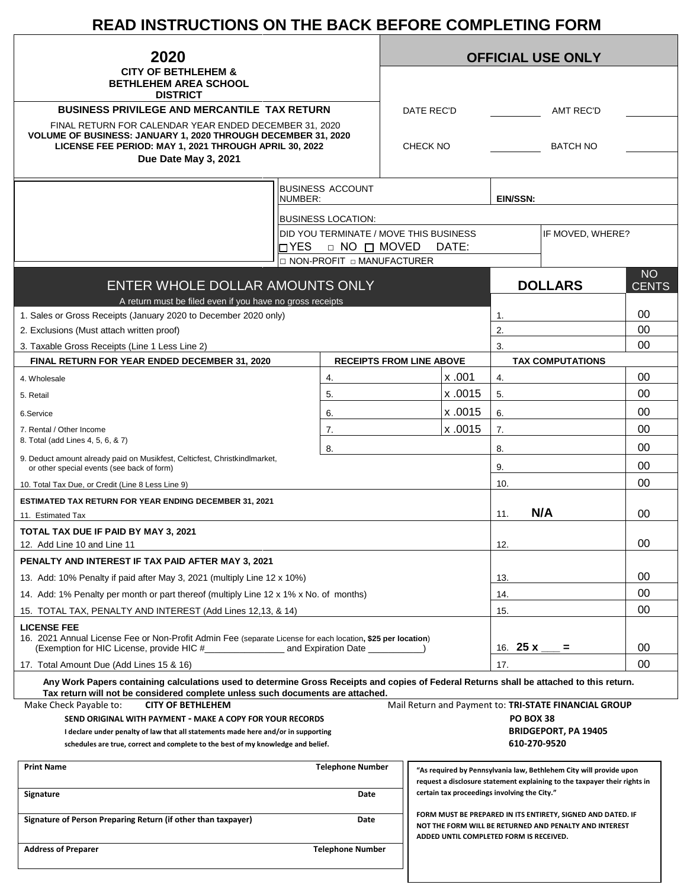# **READ INSTRUCTIONS ON THE BACK BEFORE COMPLETING FORM**

| 2020<br><b>CITY OF BETHLEHEM &amp;</b><br><b>BETHLEHEM AREA SCHOOL</b>                                                                                                                                    |                                        |  | <b>OFFICIAL USE ONLY</b>           |                                              |                  |                                                                                                                                                 |              |  |
|-----------------------------------------------------------------------------------------------------------------------------------------------------------------------------------------------------------|----------------------------------------|--|------------------------------------|----------------------------------------------|------------------|-------------------------------------------------------------------------------------------------------------------------------------------------|--------------|--|
|                                                                                                                                                                                                           |                                        |  |                                    |                                              |                  |                                                                                                                                                 |              |  |
| <b>DISTRICT</b>                                                                                                                                                                                           |                                        |  |                                    |                                              |                  |                                                                                                                                                 |              |  |
| <b>BUSINESS PRIVILEGE AND MERCANTILE TAX RETURN</b>                                                                                                                                                       |                                        |  | DATE REC'D                         |                                              |                  | <b>AMT REC'D</b>                                                                                                                                |              |  |
| FINAL RETURN FOR CALENDAR YEAR ENDED DECEMBER 31, 2020<br>VOLUME OF BUSINESS: JANUARY 1, 2020 THROUGH DECEMBER 31, 2020<br>LICENSE FEE PERIOD: MAY 1, 2021 THROUGH APRIL 30, 2022<br>Due Date May 3, 2021 |                                        |  | <b>BATCH NO</b><br><b>CHECK NO</b> |                                              |                  |                                                                                                                                                 |              |  |
|                                                                                                                                                                                                           |                                        |  |                                    |                                              |                  |                                                                                                                                                 |              |  |
|                                                                                                                                                                                                           | <b>BUSINESS ACCOUNT</b><br>NUMBER:     |  |                                    |                                              | EIN/SSN:         |                                                                                                                                                 |              |  |
|                                                                                                                                                                                                           | <b>BUSINESS LOCATION:</b>              |  |                                    |                                              |                  |                                                                                                                                                 |              |  |
|                                                                                                                                                                                                           | DID YOU TERMINATE / MOVE THIS BUSINESS |  |                                    |                                              |                  | IF MOVED, WHERE?                                                                                                                                |              |  |
|                                                                                                                                                                                                           | IN YES<br>$\Box$ NO $\Box$ MOVED       |  |                                    | DATE:                                        |                  |                                                                                                                                                 |              |  |
|                                                                                                                                                                                                           | □ NON-PROFIT □ MANUFACTURER            |  |                                    |                                              |                  |                                                                                                                                                 | <b>NO</b>    |  |
| ENTER WHOLE DOLLAR AMOUNTS ONLY<br>A return must be filed even if you have no gross receipts                                                                                                              |                                        |  |                                    |                                              |                  | <b>DOLLARS</b>                                                                                                                                  | <b>CENTS</b> |  |
| 1. Sales or Gross Receipts (January 2020 to December 2020 only)                                                                                                                                           |                                        |  |                                    |                                              | 1.               |                                                                                                                                                 | 00           |  |
| 2. Exclusions (Must attach written proof)                                                                                                                                                                 |                                        |  |                                    |                                              | 2.               |                                                                                                                                                 | 00           |  |
| 3. Taxable Gross Receipts (Line 1 Less Line 2)                                                                                                                                                            |                                        |  |                                    |                                              | 3.               |                                                                                                                                                 | 00           |  |
| FINAL RETURN FOR YEAR ENDED DECEMBER 31, 2020                                                                                                                                                             | <b>RECEIPTS FROM LINE ABOVE</b>        |  |                                    |                                              |                  | <b>TAX COMPUTATIONS</b>                                                                                                                         |              |  |
| 4. Wholesale                                                                                                                                                                                              | 4.                                     |  |                                    | x.001                                        | 4.               |                                                                                                                                                 | 00           |  |
| 5. Retail                                                                                                                                                                                                 | 5.                                     |  |                                    | x.0015                                       | 5.               |                                                                                                                                                 | 00           |  |
| 6.Service                                                                                                                                                                                                 | 6.                                     |  |                                    | x .0015                                      | 6.               |                                                                                                                                                 | 00           |  |
| 7. Rental / Other Income<br>8. Total (add Lines 4, 5, 6, & 7)                                                                                                                                             | 7.                                     |  |                                    | x.0015                                       | 7.               |                                                                                                                                                 | 00           |  |
| 9. Deduct amount already paid on Musikfest, Celticfest, Christkindlmarket,                                                                                                                                | 8.                                     |  |                                    |                                              | 8.               |                                                                                                                                                 | 00           |  |
| or other special events (see back of form)                                                                                                                                                                |                                        |  |                                    |                                              | 9.               |                                                                                                                                                 | 00           |  |
| 10. Total Tax Due, or Credit (Line 8 Less Line 9)                                                                                                                                                         |                                        |  |                                    |                                              | 10.              |                                                                                                                                                 | 00           |  |
| <b>ESTIMATED TAX RETURN FOR YEAR ENDING DECEMBER 31, 2021</b>                                                                                                                                             |                                        |  |                                    |                                              |                  |                                                                                                                                                 |              |  |
| 11. Estimated Tax                                                                                                                                                                                         |                                        |  |                                    |                                              | 11.              | N/A                                                                                                                                             | 00           |  |
| TOTAL TAX DUE IF PAID BY MAY 3, 2021<br>12. Add Line 10 and Line 11                                                                                                                                       |                                        |  |                                    |                                              |                  |                                                                                                                                                 | 00           |  |
| PENALTY AND INTEREST IF TAX PAID AFTER MAY 3, 2021                                                                                                                                                        |                                        |  |                                    |                                              | 12.              |                                                                                                                                                 |              |  |
|                                                                                                                                                                                                           |                                        |  |                                    |                                              | 13.              |                                                                                                                                                 | 00           |  |
| 13. Add: 10% Penalty if paid after May 3, 2021 (multiply Line 12 x 10%)<br>14. Add: 1% Penalty per month or part thereof (multiply Line 12 x 1% x No. of months)                                          |                                        |  |                                    | 14.                                          |                  | 00                                                                                                                                              |              |  |
| 15. TOTAL TAX, PENALTY AND INTEREST (Add Lines 12,13, & 14)                                                                                                                                               |                                        |  |                                    | 15.                                          |                  | 00                                                                                                                                              |              |  |
| <b>LICENSE FEE</b><br>16. 2021 Annual License Fee or Non-Profit Admin Fee (separate License for each location, \$25 per location)                                                                         |                                        |  |                                    |                                              |                  |                                                                                                                                                 | 00           |  |
|                                                                                                                                                                                                           |                                        |  |                                    | 16. <b>25 x</b> ___ =                        |                  | 00                                                                                                                                              |              |  |
| 17. Total Amount Due (Add Lines 15 & 16)<br>Any Work Papers containing calculations used to determine Gross Receipts and copies of Federal Returns shall be attached to this return.                      |                                        |  |                                    |                                              | 17.              |                                                                                                                                                 |              |  |
| Tax return will not be considered complete unless such documents are attached.<br>Make Check Payable to:<br><b>CITY OF BETHLEHEM</b>                                                                      |                                        |  |                                    |                                              |                  | Mail Return and Payment to: TRI-STATE FINANCIAL GROUP                                                                                           |              |  |
| SEND ORIGINAL WITH PAYMENT - MAKE A COPY FOR YOUR RECORDS                                                                                                                                                 |                                        |  |                                    |                                              | <b>PO BOX 38</b> |                                                                                                                                                 |              |  |
| I declare under penalty of law that all statements made here and/or in supporting                                                                                                                         |                                        |  |                                    |                                              |                  | <b>BRIDGEPORT, PA 19405</b>                                                                                                                     |              |  |
| schedules are true, correct and complete to the best of my knowledge and belief.                                                                                                                          |                                        |  |                                    |                                              |                  | 610-270-9520                                                                                                                                    |              |  |
| <b>Print Name</b>                                                                                                                                                                                         | <b>Telephone Number</b>                |  |                                    |                                              |                  | "As required by Pennsylvania law, Bethlehem City will provide upon<br>request a disclosure statement explaining to the taxpayer their rights in |              |  |
| Signature                                                                                                                                                                                                 | Date                                   |  |                                    | certain tax proceedings involving the City." |                  |                                                                                                                                                 |              |  |
| Signature of Person Preparing Return (if other than taxpayer)                                                                                                                                             | Date                                   |  |                                    | ADDED UNTIL COMPLETED FORM IS RECEIVED.      |                  | FORM MUST BE PREPARED IN ITS ENTIRETY, SIGNED AND DATED. IF<br>NOT THE FORM WILL BE RETURNED AND PENALTY AND INTEREST                           |              |  |
| <b>Address of Preparer</b>                                                                                                                                                                                | <b>Telephone Number</b>                |  |                                    |                                              |                  |                                                                                                                                                 |              |  |